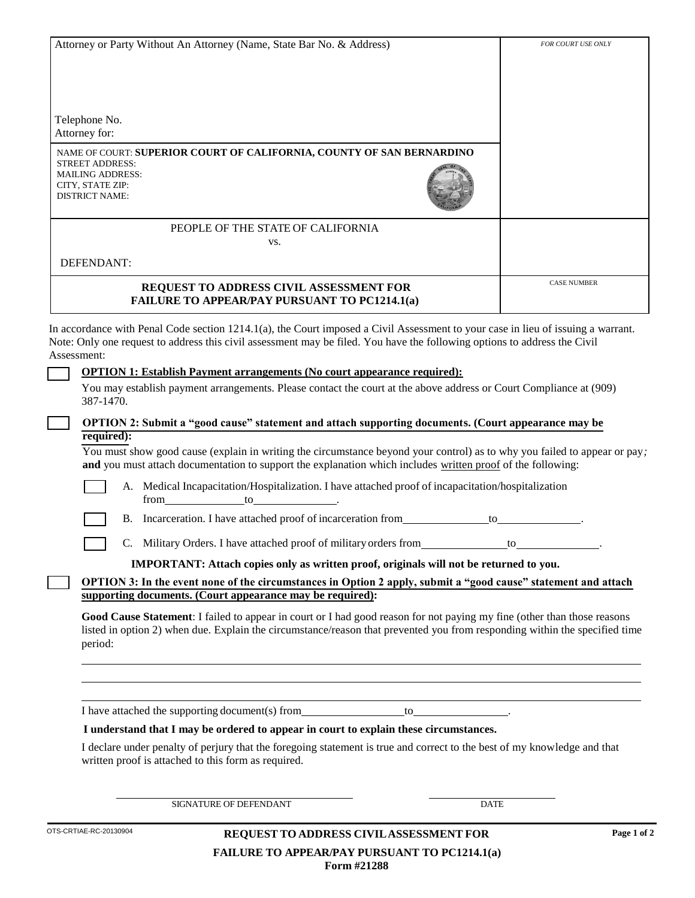| Attorney or Party Without An Attorney (Name, State Bar No. & Address)                                                                                                                                                                                                                                                                | FOR COURT USE ONLY |
|--------------------------------------------------------------------------------------------------------------------------------------------------------------------------------------------------------------------------------------------------------------------------------------------------------------------------------------|--------------------|
|                                                                                                                                                                                                                                                                                                                                      |                    |
|                                                                                                                                                                                                                                                                                                                                      |                    |
|                                                                                                                                                                                                                                                                                                                                      |                    |
| Telephone No.                                                                                                                                                                                                                                                                                                                        |                    |
| Attorney for:                                                                                                                                                                                                                                                                                                                        |                    |
| NAME OF COURT: SUPERIOR COURT OF CALIFORNIA, COUNTY OF SAN BERNARDINO<br><b>STREET ADDRESS:</b>                                                                                                                                                                                                                                      |                    |
| <b>MAILING ADDRESS:</b><br>CITY, STATE ZIP:                                                                                                                                                                                                                                                                                          |                    |
| <b>DISTRICT NAME:</b>                                                                                                                                                                                                                                                                                                                |                    |
|                                                                                                                                                                                                                                                                                                                                      |                    |
| PEOPLE OF THE STATE OF CALIFORNIA                                                                                                                                                                                                                                                                                                    |                    |
| VS.                                                                                                                                                                                                                                                                                                                                  |                    |
| DEFENDANT:                                                                                                                                                                                                                                                                                                                           |                    |
| REQUEST TO ADDRESS CIVIL ASSESSMENT FOR                                                                                                                                                                                                                                                                                              | <b>CASE NUMBER</b> |
| <b>FAILURE TO APPEAR/PAY PURSUANT TO PC1214.1(a)</b>                                                                                                                                                                                                                                                                                 |                    |
| In accordance with Penal Code section 1214.1(a), the Court imposed a Civil Assessment to your case in lieu of issuing a warrant.                                                                                                                                                                                                     |                    |
| Note: Only one request to address this civil assessment may be filed. You have the following options to address the Civil                                                                                                                                                                                                            |                    |
| Assessment:                                                                                                                                                                                                                                                                                                                          |                    |
| <b>OPTION 1: Establish Payment arrangements (No court appearance required):</b>                                                                                                                                                                                                                                                      |                    |
| You may establish payment arrangements. Please contact the court at the above address or Court Compliance at (909)<br>387-1470.                                                                                                                                                                                                      |                    |
| OPTION 2: Submit a "good cause" statement and attach supporting documents. (Court appearance may be                                                                                                                                                                                                                                  |                    |
| required):<br>You must show good cause (explain in writing the circumstance beyond your control) as to why you failed to appear or pay;                                                                                                                                                                                              |                    |
| and you must attach documentation to support the explanation which includes written proof of the following:                                                                                                                                                                                                                          |                    |
| A. Medical Incapacitation/Hospitalization. I have attached proof of incapacitation/hospitalization<br>from to to the contract of the contract of the contract of the contract of the contract of the contract of the contract of the contract of the contract of the contract of the contract of the contract of the contract of the |                    |
| B. Incarceration. I have attached proof of incarceration from<br>to                                                                                                                                                                                                                                                                  |                    |
| C. Military Orders. I have attached proof of military orders from ______________ to_______________.                                                                                                                                                                                                                                  |                    |
| IMPORTANT: Attach copies only as written proof, originals will not be returned to you.                                                                                                                                                                                                                                               |                    |
| OPTION 3: In the event none of the circumstances in Option 2 apply, submit a "good cause" statement and attach                                                                                                                                                                                                                       |                    |
| supporting documents. (Court appearance may be required):                                                                                                                                                                                                                                                                            |                    |
| Good Cause Statement: I failed to appear in court or I had good reason for not paying my fine (other than those reasons<br>listed in option 2) when due. Explain the circumstance/reason that prevented you from responding within the specified time<br>period:                                                                     |                    |
|                                                                                                                                                                                                                                                                                                                                      |                    |
|                                                                                                                                                                                                                                                                                                                                      |                    |
|                                                                                                                                                                                                                                                                                                                                      |                    |
| I understand that I may be ordered to appear in court to explain these circumstances.                                                                                                                                                                                                                                                |                    |
| I declare under penalty of perjury that the foregoing statement is true and correct to the best of my knowledge and that                                                                                                                                                                                                             |                    |
| written proof is attached to this form as required.                                                                                                                                                                                                                                                                                  |                    |
|                                                                                                                                                                                                                                                                                                                                      |                    |
|                                                                                                                                                                                                                                                                                                                                      |                    |

SIGNATURE OF DEFENDANT DATE